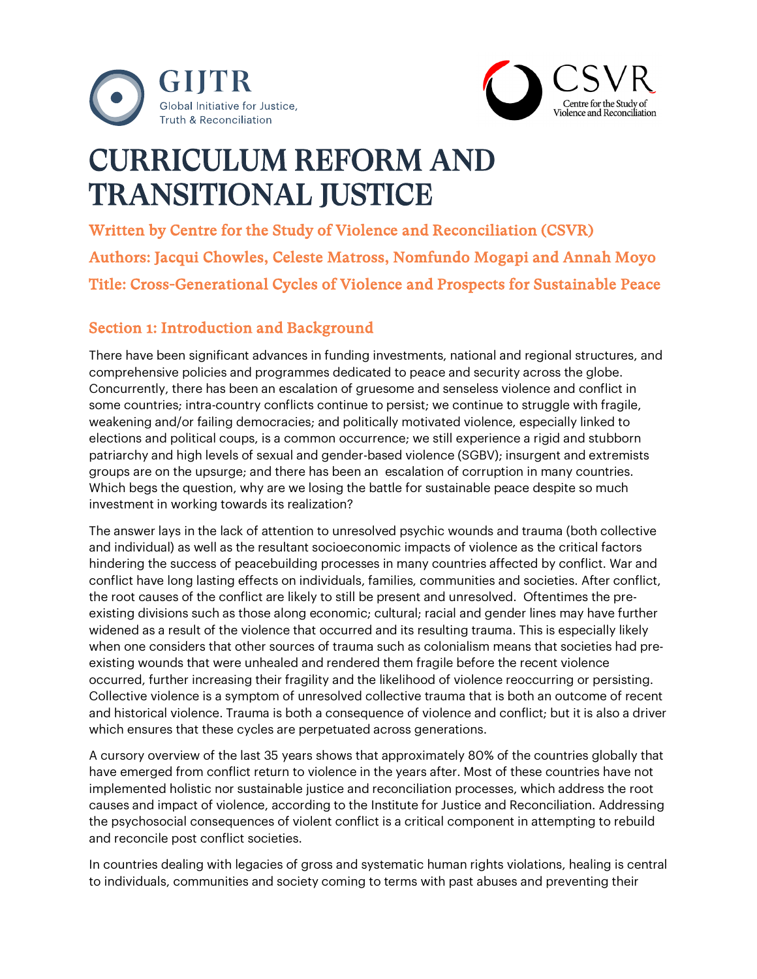



# CURRICULUM REFORM AND TRANSITIONAL JUSTICE

Written by Centre for the Study of Violence and Reconciliation (CSVR) Authors: Jacqui Chowles, Celeste Matross, Nomfundo Mogapi and Annah Moyo Title: Cross-Generational Cycles of Violence and Prospects for Sustainable Peace

# Section 1: Introduction and Background

There have been significant advances in funding investments, national and regional structures, and comprehensive policies and programmes dedicated to peace and security across the globe. Concurrently, there has been an escalation of gruesome and senseless violence and conflict in some countries; intra-country conflicts continue to persist; we continue to struggle with fragile, weakening and/or failing democracies; and politically motivated violence, especially linked to elections and political coups, is a common occurrence; we still experience a rigid and stubborn patriarchy and high levels of sexual and gender-based violence (SGBV); insurgent and extremists groups are on the upsurge; and there has been an escalation of corruption in many countries. Which begs the question, why are we losing the battle for sustainable peace despite so much investment in working towards its realization?

The answer lays in the lack of attention to unresolved psychic wounds and trauma (both collective and individual) as well as the resultant socioeconomic impacts of violence as the critical factors hindering the success of peacebuilding processes in many countries affected by conflict. War and conflict have long lasting effects on individuals, families, communities and societies. After conflict, the root causes of the conflict are likely to still be present and unresolved. Oftentimes the preexisting divisions such as those along economic; cultural; racial and gender lines may have further widened as a result of the violence that occurred and its resulting trauma. This is especially likely when one considers that other sources of trauma such as colonialism means that societies had preexisting wounds that were unhealed and rendered them fragile before the recent violence occurred, further increasing their fragility and the likelihood of violence reoccurring or persisting. Collective violence is a symptom of unresolved collective trauma that is both an outcome of recent and historical violence. Trauma is both a consequence of violence and conflict; but it is also a driver which ensures that these cycles are perpetuated across generations.

A cursory overview of the last 35 years shows that approximately 80% of the countries globally that have emerged from conflict return to violence in the years after. Most of these countries have not implemented holistic nor sustainable justice and reconciliation processes, which address the root causes and impact of violence, according to the Institute for Justice and Reconciliation. Addressing the psychosocial consequences of violent conflict is a critical component in attempting to rebuild and reconcile post conflict societies.

In countries dealing with legacies of gross and systematic human rights violations, healing is central to individuals, communities and society coming to terms with past abuses and preventing their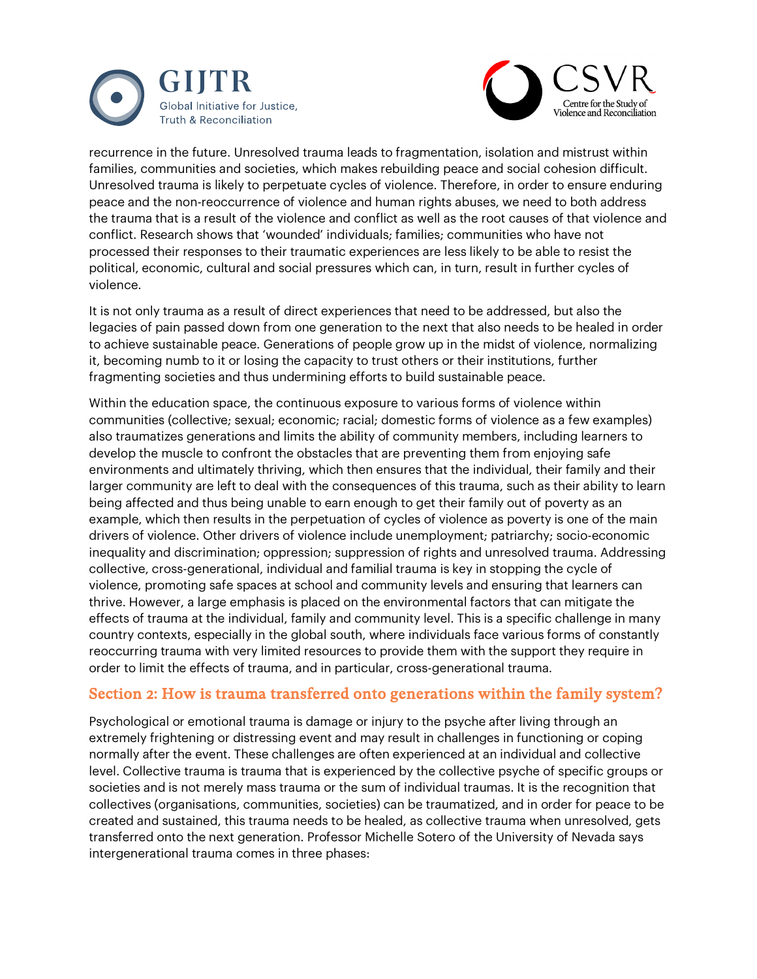



recurrence in the future. Unresolved trauma leads to fragmentation, isolation and mistrust within families, communities and societies, which makes rebuilding peace and social cohesion difficult. Unresolved trauma is likely to perpetuate cycles of violence. Therefore, in order to ensure enduring peace and the non-reoccurrence of violence and human rights abuses, we need to both address the trauma that is a result of the violence and conflict as well as the root causes of that violence and conflict. Research shows that 'wounded' individuals; families; communities who have not processed their responses to their traumatic experiences are less likely to be able to resist the political, economic, cultural and social pressures which can, in turn, result in further cycles of violence.

It is not only trauma as a result of direct experiences that need to be addressed, but also the legacies of pain passed down from one generation to the next that also needs to be healed in order to achieve sustainable peace. Generations of people grow up in the midst of violence, normalizing it, becoming numb to it or losing the capacity to trust others or their institutions, further fragmenting societies and thus undermining efforts to build sustainable peace.

Within the education space, the continuous exposure to various forms of violence within communities (collective; sexual; economic; racial; domestic forms of violence as a few examples) also traumatizes generations and limits the ability of community members, including learners to develop the muscle to confront the obstacles that are preventing them from enjoying safe environments and ultimately thriving, which then ensures that the individual, their family and their larger community are left to deal with the consequences of this trauma, such as their ability to learn being affected and thus being unable to earn enough to get their family out of poverty as an example, which then results in the perpetuation of cycles of violence as poverty is one of the main drivers of violence. Other drivers of violence include unemployment; patriarchy; socio-economic inequality and discrimination; oppression; suppression of rights and unresolved trauma. Addressing collective, cross-generational, individual and familial trauma is key in stopping the cycle of violence, promoting safe spaces at school and community levels and ensuring that learners can thrive. However, a large emphasis is placed on the environmental factors that can mitigate the effects of trauma at the individual, family and community level. This is a specific challenge in many country contexts, especially in the global south, where individuals face various forms of constantly reoccurring trauma with very limited resources to provide them with the support they require in order to limit the effects of trauma, and in particular, cross-generational trauma.

#### Section 2: How is trauma transferred onto generations within the family system?

Psychological or emotional trauma is damage or injury to the psyche after living through an extremely frightening or distressing event and may result in challenges in functioning or coping normally after the event. These challenges are often experienced at an individual and collective level. Collective trauma is trauma that is experienced by the collective psyche of specific groups or societies and is not merely mass trauma or the sum of individual traumas. It is the recognition that collectives (organisations, communities, societies) can be traumatized, and in order for peace to be created and sustained, this trauma needs to be healed, as collective trauma when unresolved, gets transferred onto the next generation. Professor Michelle Sotero of the University of Nevada says intergenerational trauma comes in three phases: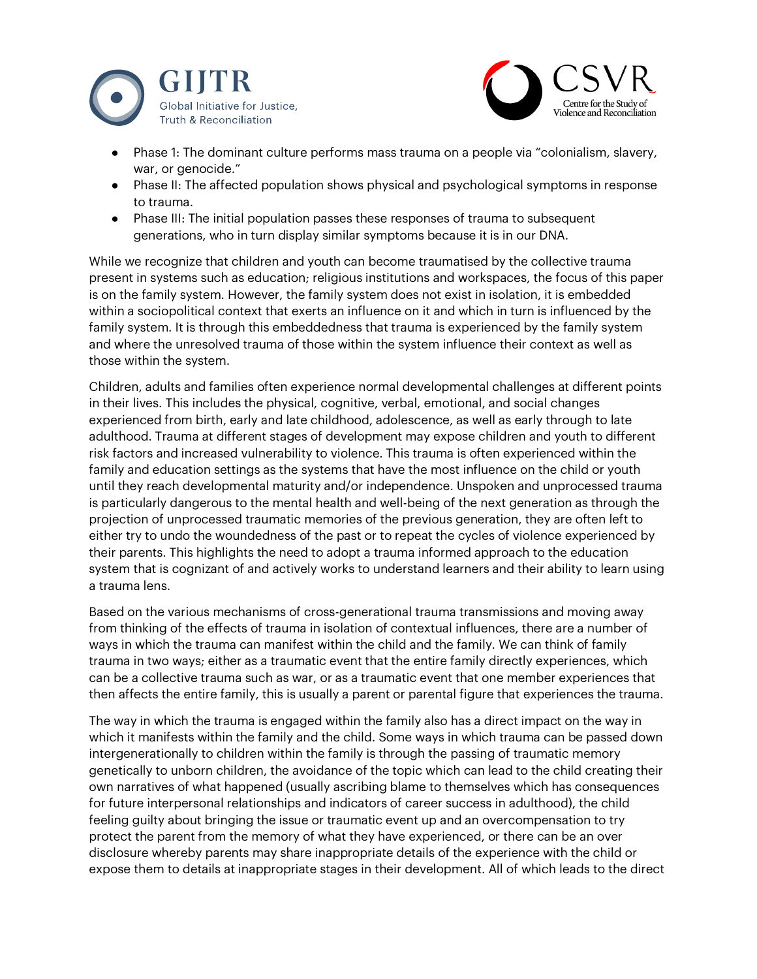



- Phase 1: The dominant culture performs mass trauma on a people via "colonialism, slavery, war, or genocide."
- Phase II: The affected population shows physical and psychological symptoms in response to trauma.
- Phase III: The initial population passes these responses of trauma to subsequent generations, who in turn display similar symptoms because it is in our DNA.

While we recognize that children and youth can become traumatised by the collective trauma present in systems such as education; religious institutions and workspaces, the focus of this paper is on the family system. However, the family system does not exist in isolation, it is embedded within a sociopolitical context that exerts an influence on it and which in turn is influenced by the family system. It is through this embeddedness that trauma is experienced by the family system and where the unresolved trauma of those within the system influence their context as well as those within the system.

Children, adults and families often experience normal developmental challenges at different points in their lives. This includes the physical, cognitive, verbal, emotional, and social changes experienced from birth, early and late childhood, adolescence, as well as early through to late adulthood. Trauma at different stages of development may expose children and youth to different risk factors and increased vulnerability to violence. This trauma is often experienced within the family and education settings as the systems that have the most influence on the child or youth until they reach developmental maturity and/or independence. Unspoken and unprocessed trauma is particularly dangerous to the mental health and well-being of the next generation as through the projection of unprocessed traumatic memories of the previous generation, they are often left to either try to undo the woundedness of the past or to repeat the cycles of violence experienced by their parents. This highlights the need to adopt a trauma informed approach to the education system that is cognizant of and actively works to understand learners and their ability to learn using a trauma lens.

Based on the various mechanisms of cross-generational trauma transmissions and moving away from thinking of the effects of trauma in isolation of contextual influences, there are a number of ways in which the trauma can manifest within the child and the family. We can think of family trauma in two ways; either as a traumatic event that the entire family directly experiences, which can be a collective trauma such as war, or as a traumatic event that one member experiences that then affects the entire family, this is usually a parent or parental figure that experiences the trauma.

The way in which the trauma is engaged within the family also has a direct impact on the way in which it manifests within the family and the child. Some ways in which trauma can be passed down intergenerationally to children within the family is through the passing of traumatic memory genetically to unborn children, the avoidance of the topic which can lead to the child creating their own narratives of what happened (usually ascribing blame to themselves which has consequences for future interpersonal relationships and indicators of career success in adulthood), the child feeling guilty about bringing the issue or traumatic event up and an overcompensation to try protect the parent from the memory of what they have experienced, or there can be an over disclosure whereby parents may share inappropriate details of the experience with the child or expose them to details at inappropriate stages in their development. All of which leads to the direct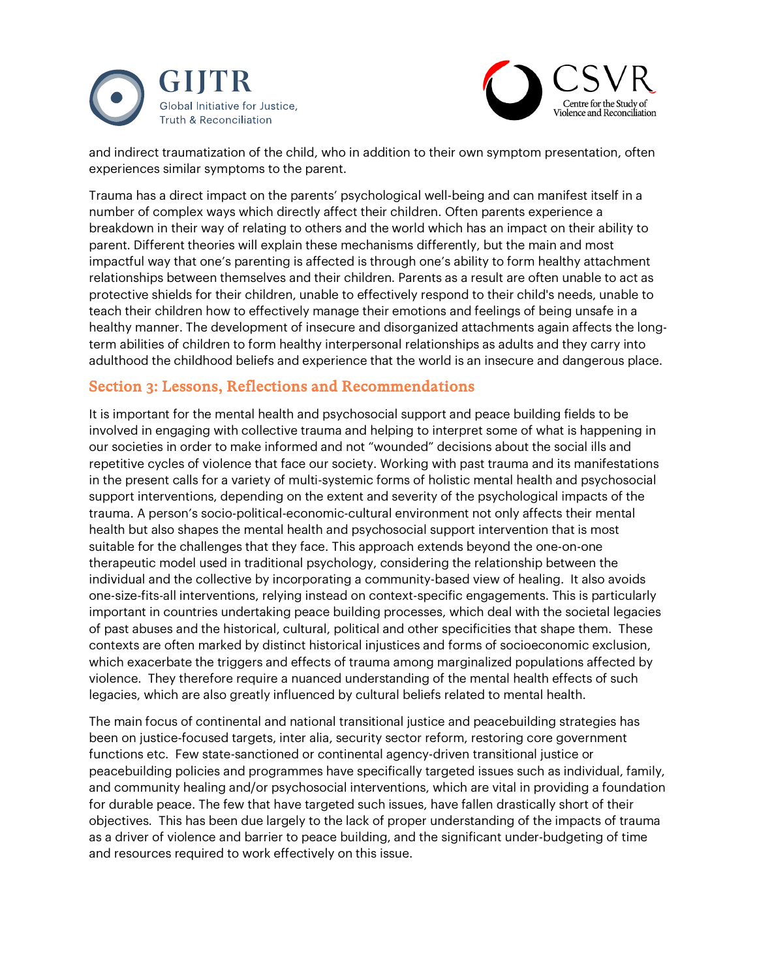



and indirect traumatization of the child, who in addition to their own symptom presentation, often experiences similar symptoms to the parent.

Trauma has a direct impact on the parents' psychological well-being and can manifest itself in a number of complex ways which directly affect their children. Often parents experience a breakdown in their way of relating to others and the world which has an impact on their ability to parent. Different theories will explain these mechanisms differently, but the main and most impactful way that one's parenting is affected is through one's ability to form healthy attachment relationships between themselves and their children. Parents as a result are often unable to act as protective shields for their children, unable to effectively respond to their child's needs, unable to teach their children how to effectively manage their emotions and feelings of being unsafe in a healthy manner. The development of insecure and disorganized attachments again affects the longterm abilities of children to form healthy interpersonal relationships as adults and they carry into adulthood the childhood beliefs and experience that the world is an insecure and dangerous place.

### Section 3: Lessons, Reflections and Recommendations

It is important for the mental health and psychosocial support and peace building fields to be involved in engaging with collective trauma and helping to interpret some of what is happening in our societies in order to make informed and not "wounded" decisions about the social ills and repetitive cycles of violence that face our society. Working with past trauma and its manifestations in the present calls for a variety of multi-systemic forms of holistic mental health and psychosocial support interventions, depending on the extent and severity of the psychological impacts of the trauma. A person's socio-political-economic-cultural environment not only affects their mental health but also shapes the mental health and psychosocial support intervention that is most suitable for the challenges that they face. This approach extends beyond the one-on-one therapeutic model used in traditional psychology, considering the relationship between the individual and the collective by incorporating a community-based view of healing. It also avoids one-size-fits-all interventions, relying instead on context-specific engagements. This is particularly important in countries undertaking peace building processes, which deal with the societal legacies of past abuses and the historical, cultural, political and other specificities that shape them. These contexts are often marked by distinct historical injustices and forms of socioeconomic exclusion, which exacerbate the triggers and effects of trauma among marginalized populations affected by violence. They therefore require a nuanced understanding of the mental health effects of such legacies, which are also greatly influenced by cultural beliefs related to mental health.

The main focus of continental and national transitional justice and peacebuilding strategies has been on justice-focused targets, inter alia, security sector reform, restoring core government functions etc. Few state-sanctioned or continental agency-driven transitional justice or peacebuilding policies and programmes have specifically targeted issues such as individual, family, and community healing and/or psychosocial interventions, which are vital in providing a foundation for durable peace. The few that have targeted such issues, have fallen drastically short of their objectives. This has been due largely to the lack of proper understanding of the impacts of trauma as a driver of violence and barrier to peace building, and the significant under-budgeting of time and resources required to work effectively on this issue.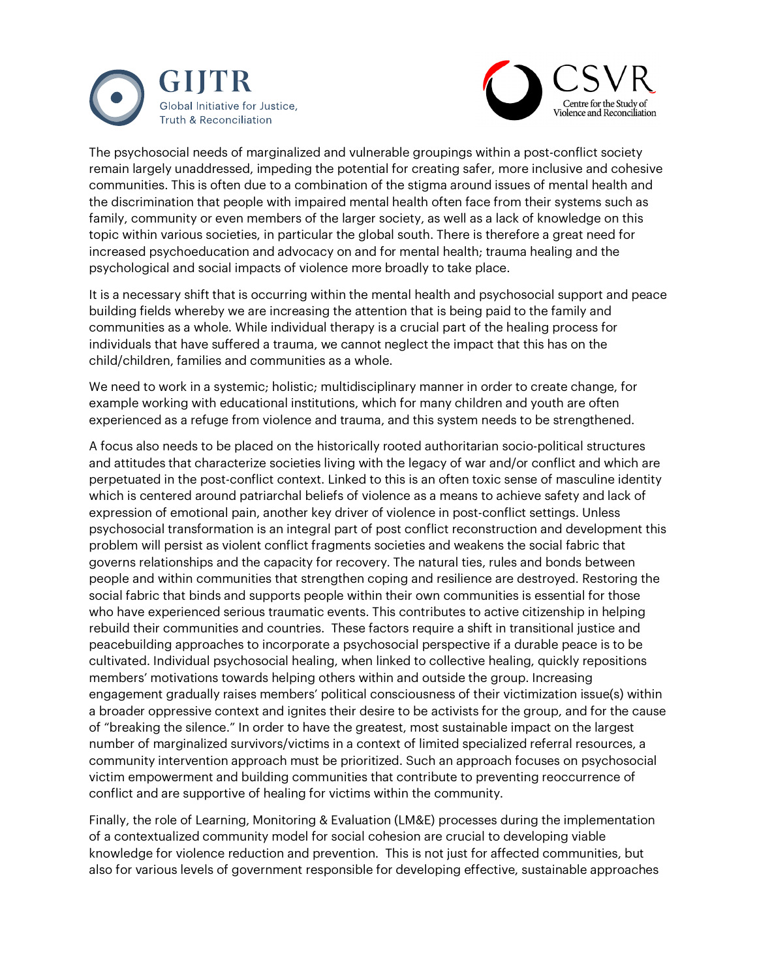



The psychosocial needs of marginalized and vulnerable groupings within a post-conflict society remain largely unaddressed, impeding the potential for creating safer, more inclusive and cohesive communities. This is often due to a combination of the stigma around issues of mental health and the discrimination that people with impaired mental health often face from their systems such as family, community or even members of the larger society, as well as a lack of knowledge on this topic within various societies, in particular the global south. There is therefore a great need for increased psychoeducation and advocacy on and for mental health; trauma healing and the psychological and social impacts of violence more broadly to take place.

It is a necessary shift that is occurring within the mental health and psychosocial support and peace building fields whereby we are increasing the attention that is being paid to the family and communities as a whole. While individual therapy is a crucial part of the healing process for individuals that have suffered a trauma, we cannot neglect the impact that this has on the child/children, families and communities as a whole.

We need to work in a systemic; holistic; multidisciplinary manner in order to create change, for example working with educational institutions, which for many children and youth are often experienced as a refuge from violence and trauma, and this system needs to be strengthened.

A focus also needs to be placed on the historically rooted authoritarian socio-political structures and attitudes that characterize societies living with the legacy of war and/or conflict and which are perpetuated in the post-conflict context. Linked to this is an often toxic sense of masculine identity which is centered around patriarchal beliefs of violence as a means to achieve safety and lack of expression of emotional pain, another key driver of violence in post-conflict settings. Unless psychosocial transformation is an integral part of post conflict reconstruction and development this problem will persist as violent conflict fragments societies and weakens the social fabric that governs relationships and the capacity for recovery. The natural ties, rules and bonds between people and within communities that strengthen coping and resilience are destroyed. Restoring the social fabric that binds and supports people within their own communities is essential for those who have experienced serious traumatic events. This contributes to active citizenship in helping rebuild their communities and countries. These factors require a shift in transitional justice and peacebuilding approaches to incorporate a psychosocial perspective if a durable peace is to be cultivated. Individual psychosocial healing, when linked to collective healing, quickly repositions members' motivations towards helping others within and outside the group. Increasing engagement gradually raises members' political consciousness of their victimization issue(s) within a broader oppressive context and ignites their desire to be activists for the group, and for the cause of "breaking the silence." In order to have the greatest, most sustainable impact on the largest number of marginalized survivors/victims in a context of limited specialized referral resources, a community intervention approach must be prioritized. Such an approach focuses on psychosocial victim empowerment and building communities that contribute to preventing reoccurrence of conflict and are supportive of healing for victims within the community.

Finally, the role of Learning, Monitoring & Evaluation (LM&E) processes during the implementation of a contextualized community model for social cohesion are crucial to developing viable knowledge for violence reduction and prevention. This is not just for affected communities, but also for various levels of government responsible for developing effective, sustainable approaches